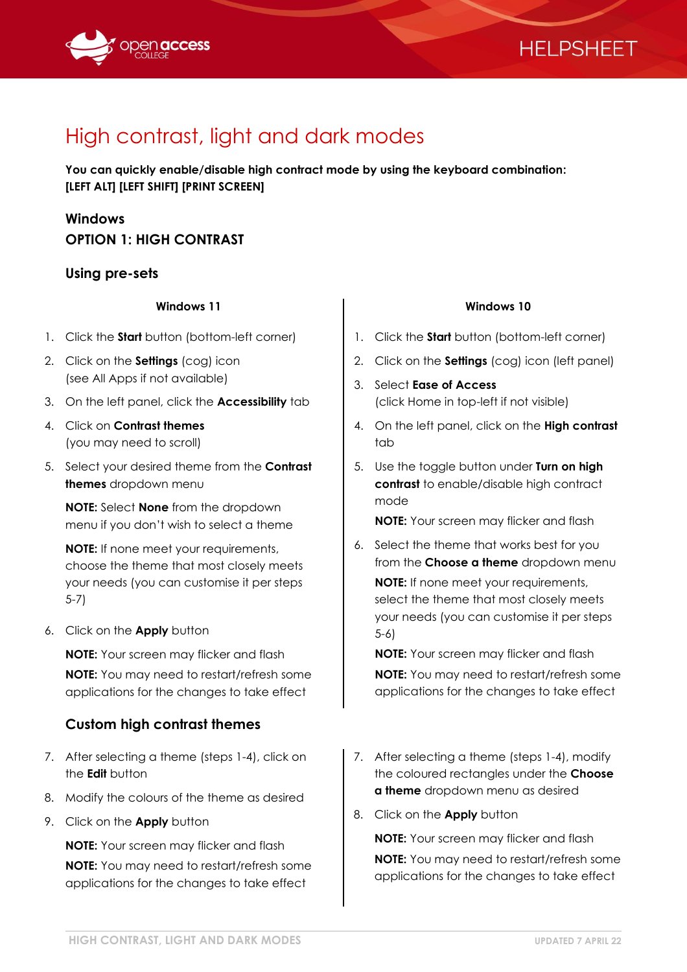

## **HELPSHEET**

# High contrast, light and dark modes

**You can quickly enable/disable high contract mode by using the keyboard combination: [LEFT ALT] [LEFT SHIFT] [PRINT SCREEN]**

## **Windows OPTION 1: HIGH CONTRAST**

## **Using pre-sets**

### **Windows 11**

- 1. Click the **Start** button (bottom-left corner)
- 2. Click on the **Settings** (cog) icon (see All Apps if not available)
- 3. On the left panel, click the **Accessibility** tab
- 4. Click on **Contrast themes** (you may need to scroll)
- 5. Select your desired theme from the **Contrast themes** dropdown menu

**NOTE:** Select **None** from the dropdown menu if you don't wish to select a theme

**NOTE:** If none meet your requirements, choose the theme that most closely meets your needs (you can customise it per steps 5-7)

6. Click on the **Apply** button

**NOTE:** Your screen may flicker and flash **NOTE:** You may need to restart/refresh some applications for the changes to take effect

## **Custom high contrast themes**

- 7. After selecting a theme (steps 1-4), click on the **Edit** button
- 8. Modify the colours of the theme as desired
- 9. Click on the **Apply** button

**NOTE:** Your screen may flicker and flash **NOTE:** You may need to restart/refresh some applications for the changes to take effect

#### **Windows 10**

- 1. Click the **Start** button (bottom-left corner)
- 2. Click on the **Settings** (cog) icon (left panel)
- 3. Select **Ease of Access** (click Home in top-left if not visible)
- 4. On the left panel, click on the **High contrast** tab
- 5. Use the toggle button under **Turn on high contrast** to enable/disable high contract mode

**NOTE:** Your screen may flicker and flash

6. Select the theme that works best for you from the **Choose a theme** dropdown menu

**NOTE:** If none meet your requirements, select the theme that most closely meets your needs (you can customise it per steps 5-6)

**NOTE:** Your screen may flicker and flash **NOTE:** You may need to restart/refresh some applications for the changes to take effect

- 7. After selecting a theme (steps 1-4), modify the coloured rectangles under the **Choose a theme** dropdown menu as desired
- 8. Click on the **Apply** button

**NOTE:** Your screen may flicker and flash **NOTE:** You may need to restart/refresh some applications for the changes to take effect